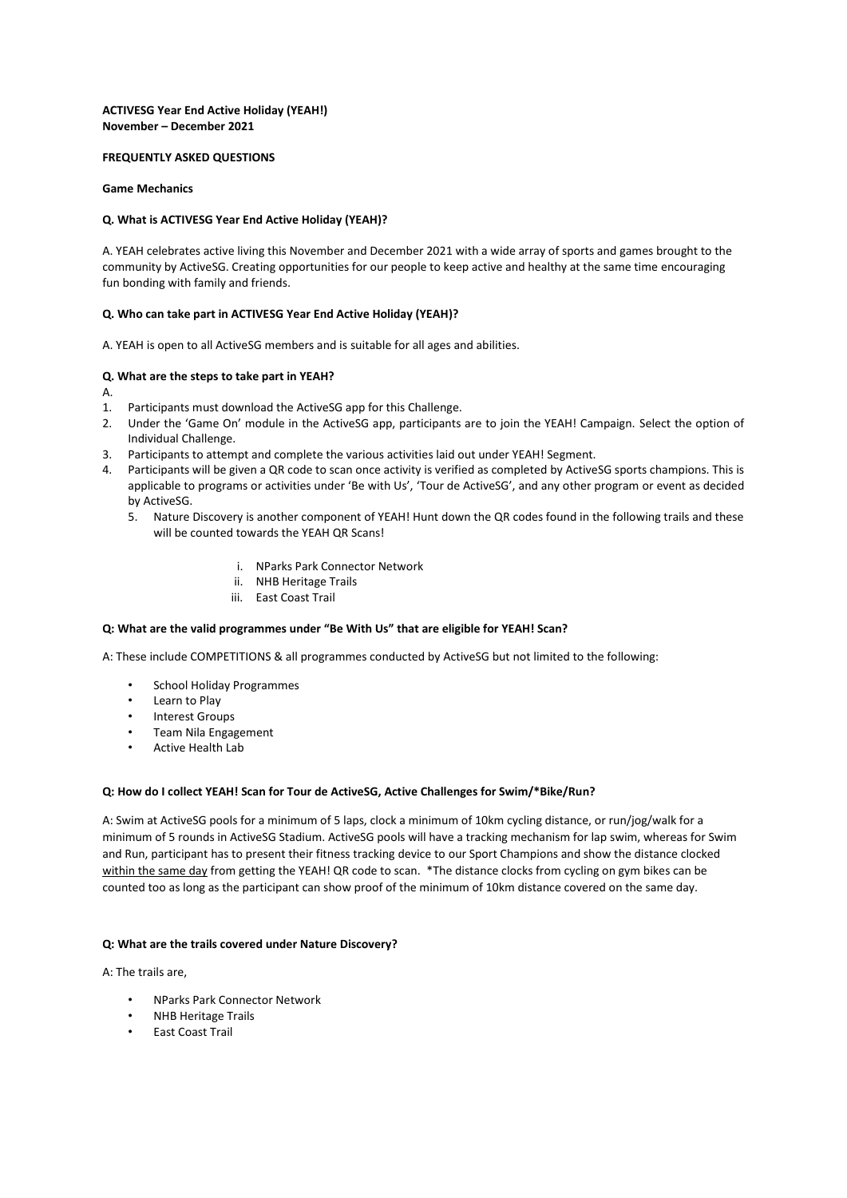#### **ACTIVESG Year End Active Holiday (YEAH!) November – December 2021**

#### **FREQUENTLY ASKED QUESTIONS**

#### **Game Mechanics**

# **Q. What is ACTIVESG Year End Active Holiday (YEAH)?**

A. YEAH celebrates active living this November and December 2021 with a wide array of sports and games brought to the community by ActiveSG. Creating opportunities for our people to keep active and healthy at the same time encouraging fun bonding with family and friends.

# **Q. Who can take part in ACTIVESG Year End Active Holiday (YEAH)?**

A. YEAH is open to all ActiveSG members and is suitable for all ages and abilities.

# **Q. What are the steps to take part in YEAH?**

A.

- 1. Participants must download the ActiveSG app for this Challenge.
- 2. Under the 'Game On' module in the ActiveSG app, participants are to join the YEAH! Campaign. Select the option of Individual Challenge.
- 3. Participants to attempt and complete the various activities laid out under YEAH! Segment.
- 4. Participants will be given a QR code to scan once activity is verified as completed by ActiveSG sports champions. This is applicable to programs or activities under 'Be with Us', 'Tour de ActiveSG', and any other program or event as decided by ActiveSG.
	- 5. Nature Discovery is another component of YEAH! Hunt down the QR codes found in the following trails and these will be counted towards the YEAH QR Scans!
		- i. NParks Park Connector Network
		- ii. NHB Heritage Trails
		- iii. East Coast Trail

# **Q: What are the valid programmes under "Be With Us" that are eligible for YEAH! Scan?**

A: These include COMPETITIONS & all programmes conducted by ActiveSG but not limited to the following:

- School Holiday Programmes
- Learn to Play
- Interest Groups
- Team Nila Engagement
- Active Health Lab

#### **Q: How do I collect YEAH! Scan for Tour de ActiveSG, Active Challenges for Swim/\*Bike/Run?**

A: Swim at ActiveSG pools for a minimum of 5 laps, clock a minimum of 10km cycling distance, or run/jog/walk for a minimum of 5 rounds in ActiveSG Stadium. ActiveSG pools will have a tracking mechanism for lap swim, whereas for Swim and Run, participant has to present their fitness tracking device to our Sport Champions and show the distance clocked within the same day from getting the YEAH! QR code to scan. \*The distance clocks from cycling on gym bikes can be counted too as long as the participant can show proof of the minimum of 10km distance covered on the same day.

# **Q: What are the trails covered under Nature Discovery?**

A: The trails are,

- NParks Park Connector Network
- NHB Heritage Trails
- East Coast Trail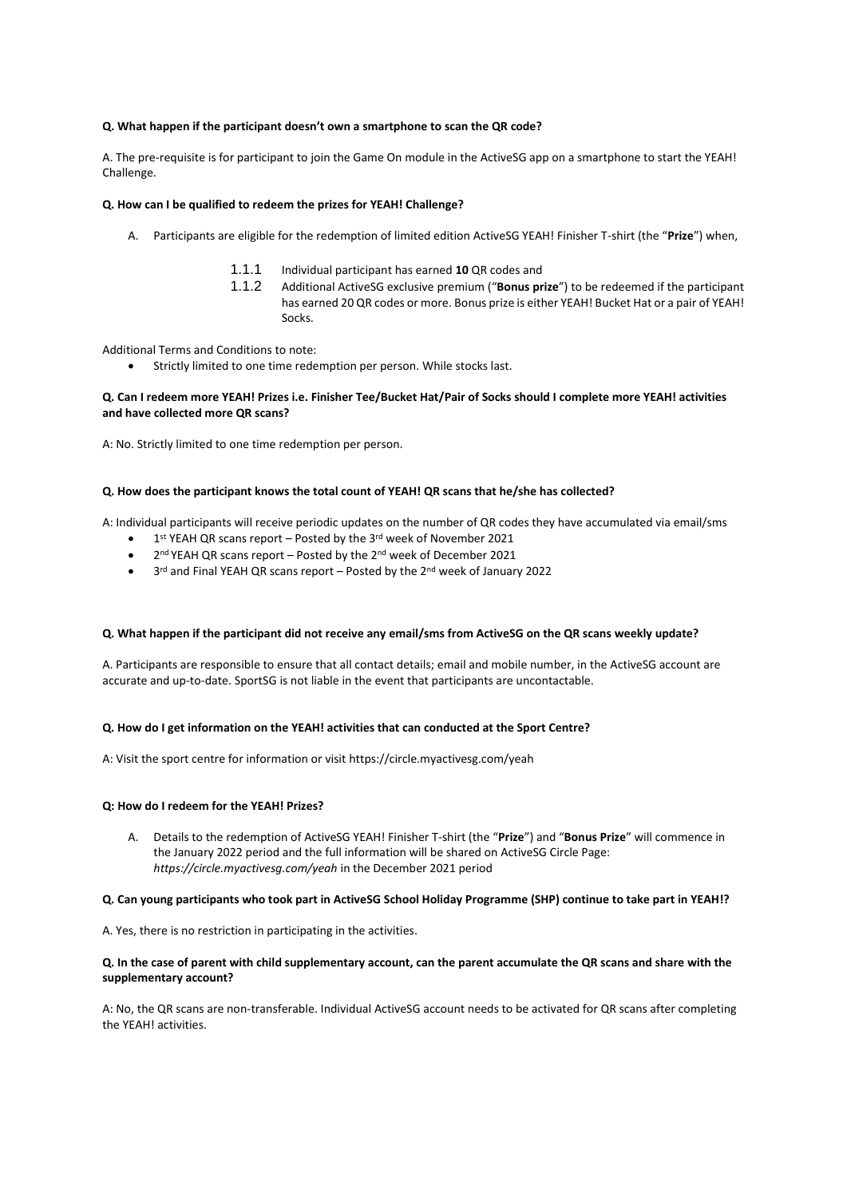#### **Q. What happen if the participant doesn't own a smartphone to scan the QR code?**

A. The pre-requisite is for participant to join the Game On module in the ActiveSG app on a smartphone to start the YEAH! Challenge.

#### **Q. How can I be qualified to redeem the prizes for YEAH! Challenge?**

- A. Participants are eligible for the redemption of limited edition ActiveSG YEAH! Finisher T-shirt (the "**Prize**") when,
	- 1.1.1 Individual participant has earned **10** QR codes and
	- 1.1.2 Additional ActiveSG exclusive premium ("**Bonus prize**") to be redeemed if the participant has earned 20 QR codes or more. Bonus prize is either YEAH! Bucket Hat or a pair of YEAH! Socks.

Additional Terms and Conditions to note:

• Strictly limited to one time redemption per person. While stocks last.

# **Q. Can I redeem more YEAH! Prizes i.e. Finisher Tee/Bucket Hat/Pair of Socks should I complete more YEAH! activities and have collected more QR scans?**

A: No. Strictly limited to one time redemption per person.

# **Q. How does the participant knows the total count of YEAH! QR scans that he/she has collected?**

A: Individual participants will receive periodic updates on the number of QR codes they have accumulated via email/sms

- $\bullet$  1<sup>st</sup> YEAH QR scans report Posted by the 3<sup>rd</sup> week of November 2021
- 2nd YEAH QR scans report Posted by the 2nd week of December 2021
- 3<sup>rd</sup> and Final YEAH QR scans report Posted by the 2<sup>nd</sup> week of January 2022

#### **Q. What happen if the participant did not receive any email/sms from ActiveSG on the QR scans weekly update?**

A. Participants are responsible to ensure that all contact details; email and mobile number, in the ActiveSG account are accurate and up-to-date. SportSG is not liable in the event that participants are uncontactable.

# **Q. How do I get information on the YEAH! activities that can conducted at the Sport Centre?**

A: Visit the sport centre for information or visit https://circle.myactivesg.com/yeah

#### **Q: How do I redeem for the YEAH! Prizes?**

A. Details to the redemption of ActiveSG YEAH! Finisher T-shirt (the "**Prize**") and "**Bonus Prize**" will commence in the January 2022 period and the full information will be shared on ActiveSG Circle Page: *https://circle.myactivesg.com/yeah* in the December 2021 period

# **Q. Can young participants who took part in ActiveSG School Holiday Programme (SHP) continue to take part in YEAH!?**

A. Yes, there is no restriction in participating in the activities.

# **Q. In the case of parent with child supplementary account, can the parent accumulate the QR scans and share with the supplementary account?**

A: No, the QR scans are non-transferable. Individual ActiveSG account needs to be activated for QR scans after completing the YEAH! activities.